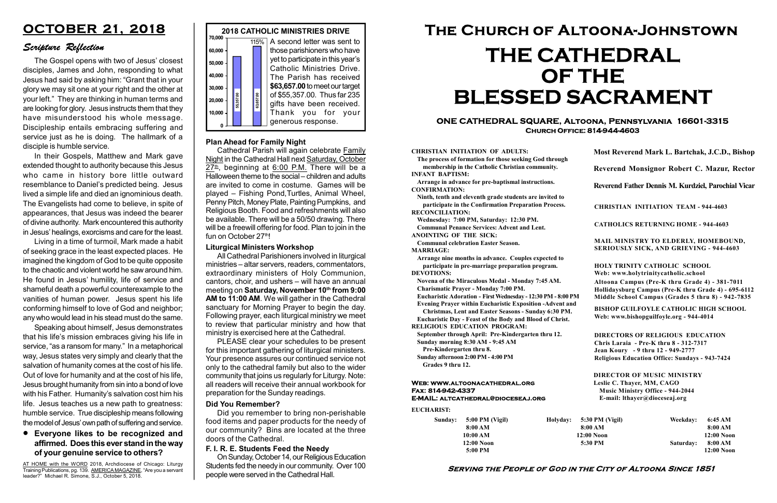#### Serving the People of God in the City of Altoona Since 1851

| Sunday: | $5:00$ PM (Vigil) | Holyday: |
|---------|-------------------|----------|
|         | 8:00 AM           |          |
|         | 10:00 AM          |          |
|         | $12:00$ Noon      |          |
|         | 5:00 PM           |          |

#### Web: www.altoonacathedral.org Fax: 814-942-4337 E-MAIL: altcathedral@dioceseaj.org

EUCHARIST:

#### CHRISTIAN INITIATION OF ADULTS:

The process of formation for those seeking God through membership in the Catholic Christian community. INFANT BAPTISM:

Arrange in advance for pre-baptismal instructions. CONFIRMATION:

Ninth, tenth and eleventh grade students are invited to participate in the Confirmation Preparation Process. RECONCILIATION:

Wednesday: 7:00 PM, Saturday: 12:30 PM. Communal Penance Services: Advent and Lent.

ANOINTING OF THE SICK:

Communal celebration Easter Season. MARRIAGE:

Arrange nine months in advance. Couples expected to participate in pre-marriage preparation program. DEVOTIONS:

Novena of the Miraculous Medal - Monday 7:45 AM.

Charismatic Prayer - Monday 7:00 PM. Eucharistic Adoration - First Wednesday - 12:30 PM - 8:00 PM

Evening Prayer within Eucharistic Exposition -Advent and

Christmas, Lent and Easter Seasons - Sunday 6:30 PM.

|                         | Most Reverend Mark L. Bartchak, J.C.D., Bishop                                                                                                                                  |           |                         |  |
|-------------------------|---------------------------------------------------------------------------------------------------------------------------------------------------------------------------------|-----------|-------------------------|--|
|                         | Reverend Monsignor Robert C. Mazur, Rector                                                                                                                                      |           |                         |  |
|                         | Reverend Father Dennis M. Kurdziel, Parochial Vicar                                                                                                                             |           |                         |  |
|                         | <b>CHRISTIAN INITIATION TEAM - 944-4603</b>                                                                                                                                     |           |                         |  |
|                         | <b>CATHOLICS RETURNING HOME - 944-4603</b>                                                                                                                                      |           |                         |  |
|                         | MAIL MINISTRY TO ELDERLY, HOMEBOUND,<br><b>SERIOUSLY SICK, AND GRIEVING - 944-4603</b>                                                                                          |           |                         |  |
|                         | <b>HOLY TRINITY CATHOLIC SCHOOL</b><br>Web: www.holytrinitycatholic.school                                                                                                      |           |                         |  |
| М                       | Altoona Campus (Pre-K thru Grade 4) - 381-7011<br>Hollidaysburg Campus (Pre-K thru Grade 4) - 695-6112<br>Middle School Campus (Grades 5 thru 8) - 942-7835                     |           |                         |  |
| ł                       | <b>BISHOP GUILFOYLE CATHOLIC HIGH SCHOOL</b><br>Web: www.bishopguilfoyle.org - 944-4014                                                                                         |           |                         |  |
|                         | <b>DIRECTORS OF RELIGIOUS EDUCATION</b><br>Chris Laraia - Pre-K thru 8 - 312-7317<br>Jean Koury - 9 thru 12 - 949-2777<br><b>Religious Education Office: Sundays - 943-7424</b> |           |                         |  |
|                         | <b>DIRECTOR OF MUSIC MINISTRY</b><br>Leslie C. Thayer, MM, CAGO<br><b>Music Ministry Office - 944-2044</b><br>E-mail: lthayer@dioceseaj.org                                     |           |                         |  |
|                         | 5:30 PM (Vigil)                                                                                                                                                                 | Weekday:  | 6:45 AM                 |  |
| 8:00 AM<br>$12:00$ Noon |                                                                                                                                                                                 |           | 8:00 AM<br>12:00 Noon   |  |
|                         | 5:30 PM                                                                                                                                                                         | Saturday: | 8:00 AM<br>$12:00$ Noon |  |
|                         |                                                                                                                                                                                 |           |                         |  |

Eucharistic Day - Feast of the Body and Blood of Christ.

RELIGIOUS EDUCATION PROGRAM:

September through April: Pre-Kindergarten thru 12. Sunday morning 8:30 AM - 9:45 AM



Cathedral Parish will again celebrate Family Night in the Cathedral Hall next Saturday, October  $27^{\underline{th}}$ , beginning at 6:00 P.M. There will be a Halloween theme to the social – children and adults are invited to come in costume. Games will be played – Fishing Pond,Turtles, Animal Wheel, Penny Pitch, Money Plate, Painting Pumpkins, and Religious Booth. Food and refreshments will also be available. There will be a 50/50 drawing. There will be a freewill offering for food. Plan to join in the fun on October 27<sup>th</sup>!

Pre-Kindergarten thru 8.

Sunday afternoon 2:00 PM - 4:00 PM Grades 9 thru 12.

#### • Everyone likes to be recognized and  $\left\{\n\begin{array}{c}\n\text{our community? Bins}\n\text{dors of the Cathedral.}\n\end{array}\n\right\}$ affirmed. Does this ever stand in the way of your genuine service to others?

#### ONE CATHEDRAL SQUARE, Altoona, Pennsylvania 16601-3315 Church Office: 814-944-4603

# The Church of Altoona-Johnstown THE CATHEDRAL OF THE BLESSED SACRAMENT

#### Plan Ahead for Family Night

AT HOME with the WORD 2018, Archdiocese of Chicago: Liturgy Training Publications, pg. 139. AMERICA MAGAZINE, "Are you a servant leader?" Michael R. Simone, S.J., October 5, 2018.

#### Liturgical Ministers Workshop

All Cathedral Parishioners involved in liturgical ministries – altar servers, readers, commentators, extraordinary ministers of Holy Communion, cantors, choir, and ushers – will have an annual meeting on Saturday, November 10th from 9:00 AM to 11:00 AM. We will gather in the Cathedral sanctuary for Morning Prayer to begin the day. Following prayer, each liturgical ministry we meet to review that particular ministry and how that ministry is exercised here at the Cathedral.

PLEASE clear your schedules to be present for this important gathering of liturgical ministers. Your presence assures our continued service not only to the cathedral family but also to the wider community that joins us regularly for Liturgy. Note: all readers will receive their annual workbook for preparation for the Sunday readings.

#### Did You Remember?

Did you remember to bring non-perishable food items and paper products for the needy of our community? Bins are located at the three

## OCTOBER 21, 2018

## Scripture Reflection

The Gospel opens with two of Jesus' closest disciples, James and John, responding to what Jesus had said by asking him: "Grant that in your glory we may sit one at your right and the other at your left." They are thinking in human terms and are looking for glory. Jesus instructs them that they have misunderstood his whole message. Discipleship entails embracing suffering and service just as he is doing. The hallmark of a disciple is humble service.

In their Gospels, Matthew and Mark gave extended thought to authority because this Jesus who came in history bore little outward resemblance to Daniel's predicted being. Jesus lived a simple life and died an ignominious death. The Evangelists had come to believe, in spite of appearances, that Jesus was indeed the bearer of divine authority. Mark encountered this authority in Jesus' healings, exorcisms and care for the least.

Living in a time of turmoil, Mark made a habit of seeking grace in the least expected places. He imagined the kingdom of God to be quite opposite to the chaotic and violent world he saw around him. He found in Jesus' humility, life of service and shameful death a powerful counterexample to the vanities of human power. Jesus spent his life conforming himself to love of God and neighbor; any who would lead in his stead must do the same.

Speaking about himself, Jesus demonstrates that his life's mission embraces giving his life in service, "as a ransom for many." In a metaphorical way, Jesus states very simply and clearly that the salvation of humanity comes at the cost of his life. Out of love for humanity and at the cost of his life, Jesus brought humanity from sin into a bond of love with his Father. Humanity's salvation cost him his life. Jesus teaches us a new path to greatness: humble service. True discipleship means following the model of Jesus' own path of suffering and service.

#### F. I. R. E. Students Feed the Needy

On Sunday, October 14, our Religious Education Students fed the needy in our community. Over 100 people were served in the Cathedral Hall.